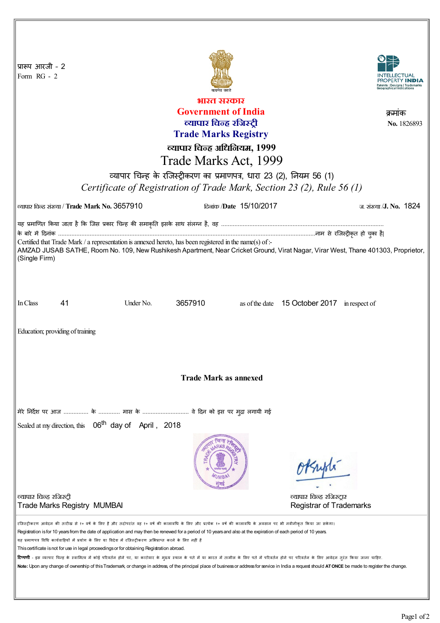| प्रारूप आरजी - 2<br>Form RG - 2                                                                                                                                                                                                                                                                                                                                                                          |                                               |           |         |                         |                                              |                            |
|----------------------------------------------------------------------------------------------------------------------------------------------------------------------------------------------------------------------------------------------------------------------------------------------------------------------------------------------------------------------------------------------------------|-----------------------------------------------|-----------|---------|-------------------------|----------------------------------------------|----------------------------|
| भारत सरकार                                                                                                                                                                                                                                                                                                                                                                                               |                                               |           |         |                         |                                              |                            |
| <b>Government of India</b><br>क्रमाक                                                                                                                                                                                                                                                                                                                                                                     |                                               |           |         |                         |                                              |                            |
| व्यापार चिन्ह रजिस्ट्री                                                                                                                                                                                                                                                                                                                                                                                  |                                               |           |         |                         |                                              | No. 1826893                |
| <b>Trade Marks Registry</b>                                                                                                                                                                                                                                                                                                                                                                              |                                               |           |         |                         |                                              |                            |
| व्यापार चिन्ह अधिनियम, 1999                                                                                                                                                                                                                                                                                                                                                                              |                                               |           |         |                         |                                              |                            |
| Trade Marks Act, 1999                                                                                                                                                                                                                                                                                                                                                                                    |                                               |           |         |                         |                                              |                            |
|                                                                                                                                                                                                                                                                                                                                                                                                          |                                               |           |         |                         |                                              |                            |
| व्यापार चिन्ह के रजिस्ट्रीकरण का प्रमाणपत्र, धारा 23 (2), नियम 56 (1)                                                                                                                                                                                                                                                                                                                                    |                                               |           |         |                         |                                              |                            |
| Certificate of Registration of Trade Mark, Section 23 (2), Rule 56 (1)                                                                                                                                                                                                                                                                                                                                   |                                               |           |         |                         |                                              |                            |
|                                                                                                                                                                                                                                                                                                                                                                                                          | ल्यापार चिन्ह संख्या / Trade Mark No. 3657910 |           |         | दिलांक /Date 15/10/2017 |                                              | <u>ज संख्या/J.No. 1824</u> |
| यह प्रमाणित किया जाता है कि जिस प्रकार चिन्ह की समाकृति इसके साथ संलग्न है, वह …………………………………………………………………………………                                                                                                                                                                                                                                                                                           |                                               |           |         |                         |                                              |                            |
|                                                                                                                                                                                                                                                                                                                                                                                                          |                                               |           |         |                         |                                              |                            |
| Certified that Trade Mark / a representation is annexed hereto, has been registered in the name(s) of :-<br>AMZAD JUSAB SATHE, Room No. 109, New Rushikesh Apartment, Near Cricket Ground, Virat Nagar, Virar West, Thane 401303, Proprietor,                                                                                                                                                            |                                               |           |         |                         |                                              |                            |
| (Single Firm)                                                                                                                                                                                                                                                                                                                                                                                            |                                               |           |         |                         |                                              |                            |
|                                                                                                                                                                                                                                                                                                                                                                                                          |                                               |           |         |                         |                                              |                            |
|                                                                                                                                                                                                                                                                                                                                                                                                          |                                               |           |         |                         |                                              |                            |
|                                                                                                                                                                                                                                                                                                                                                                                                          |                                               |           |         |                         |                                              |                            |
| In Class                                                                                                                                                                                                                                                                                                                                                                                                 | 41                                            | Under No. | 3657910 |                         | as of the date 15 October 2017 in respect of |                            |
|                                                                                                                                                                                                                                                                                                                                                                                                          |                                               |           |         |                         |                                              |                            |
| Education; providing of training                                                                                                                                                                                                                                                                                                                                                                         |                                               |           |         |                         |                                              |                            |
|                                                                                                                                                                                                                                                                                                                                                                                                          |                                               |           |         |                         |                                              |                            |
|                                                                                                                                                                                                                                                                                                                                                                                                          |                                               |           |         |                         |                                              |                            |
|                                                                                                                                                                                                                                                                                                                                                                                                          |                                               |           |         |                         |                                              |                            |
| <b>Trade Mark as annexed</b>                                                                                                                                                                                                                                                                                                                                                                             |                                               |           |         |                         |                                              |                            |
|                                                                                                                                                                                                                                                                                                                                                                                                          |                                               |           |         |                         |                                              |                            |
|                                                                                                                                                                                                                                                                                                                                                                                                          |                                               |           |         |                         |                                              |                            |
| मेरे निर्देश पर आज  के  मास के  वे दिन को इस पर मुद्रा लगायी गई                                                                                                                                                                                                                                                                                                                                          |                                               |           |         |                         |                                              |                            |
| Sealed at my direction, this 06 <sup>th</sup> day of April, 2018                                                                                                                                                                                                                                                                                                                                         |                                               |           |         |                         |                                              |                            |
|                                                                                                                                                                                                                                                                                                                                                                                                          |                                               |           |         |                         |                                              |                            |
|                                                                                                                                                                                                                                                                                                                                                                                                          |                                               |           |         |                         |                                              |                            |
|                                                                                                                                                                                                                                                                                                                                                                                                          |                                               |           |         |                         |                                              |                            |
|                                                                                                                                                                                                                                                                                                                                                                                                          |                                               |           |         |                         | Whyple                                       |                            |
|                                                                                                                                                                                                                                                                                                                                                                                                          |                                               |           |         |                         |                                              |                            |
| व्यापार चिन्ह रजिस्ट्री                                                                                                                                                                                                                                                                                                                                                                                  |                                               |           |         |                         | व्यापार चिन्ह रजिस्ट्रार                     |                            |
|                                                                                                                                                                                                                                                                                                                                                                                                          | <b>Trade Marks Registry MUMBAI</b>            |           |         |                         | <b>Registrar of Trademarks</b>               |                            |
|                                                                                                                                                                                                                                                                                                                                                                                                          |                                               |           |         |                         |                                              |                            |
| रजिस्ट्रीकरण आवेदन की तारीख से १० वर्ष के लिए है और तदोपरांत वह १० वर्ष की कालावधि के परि के एक बंग की कालावधि के अवसान पर भी नवीनीकृत किया जा सकेगा।<br>Registration is for 10 years from the date of application and may then be renewed for a period of 10 years and also at the expiration of each period of 10 years.                                                                               |                                               |           |         |                         |                                              |                            |
| यह प्रमाणपत्र विधि कार्यवाहियों में प्रयोग के लिए या विदेश में रजिस्ट्रीकरण अभिप्राप्त करने के लिए नहीं है                                                                                                                                                                                                                                                                                               |                                               |           |         |                         |                                              |                            |
| This certificate is not for use in legal proceedings or for obtaining Registration abroad.                                                                                                                                                                                                                                                                                                               |                                               |           |         |                         |                                              |                            |
| <b>टिप्पणी</b> - इस व्यापार चिन्ह के स्वामित्व में कोई परिवर्तन होने पर, या कारोवार के मुख्य स्थल के संगल में लोग के लिए पते में परिवर्तन होने पर परिवर्तन के लिए आवेदन तुरंत किया जाना चाहिए.<br>Note: Upon any change of ownership of this Trademark, or change in address, of the principal place of business or address for service in India a request should ATONCE be made to register the change. |                                               |           |         |                         |                                              |                            |
|                                                                                                                                                                                                                                                                                                                                                                                                          |                                               |           |         |                         |                                              |                            |
|                                                                                                                                                                                                                                                                                                                                                                                                          |                                               |           |         |                         |                                              |                            |
|                                                                                                                                                                                                                                                                                                                                                                                                          |                                               |           |         |                         |                                              |                            |

I